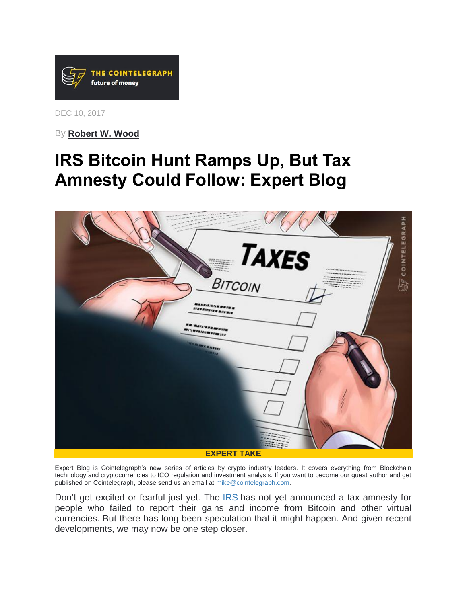

DEC 10, 2017

By **[Robert W. Wood](https://cointelegraph.com/news/irs-hunt-for-cryptocurrency-isnt-going-away-expert-blog)**

## **[IRS Bitcoin Hunt Ramps Up, But Tax](https://cointelegraph.com/news/irs-bitcoin-hunt-ramps-up-but-tax-amnesty-could-follow-expert-blog)  [Amnesty Could Follow: Expert Blog](https://cointelegraph.com/news/irs-bitcoin-hunt-ramps-up-but-tax-amnesty-could-follow-expert-blog)**



Expert Blog is Cointelegraph's new series of articles by crypto industry leaders. It covers everything from Blockchain technology and cryptocurrencies to ICO regulation and investment analysis. If you want to become our guest author and get published on Cointelegraph, please send us an email at [mike@cointelegraph.com.](mailto:mike@cointelegraph.com)

Don't get excited or fearful just yet. The **[IRS](https://cointelegraph.com/tags/irs)** has not yet announced a tax amnesty for people who failed to report their gains and income from Bitcoin and other virtual currencies. But there has long been speculation that it might happen. And given recent developments, we may now be one step closer.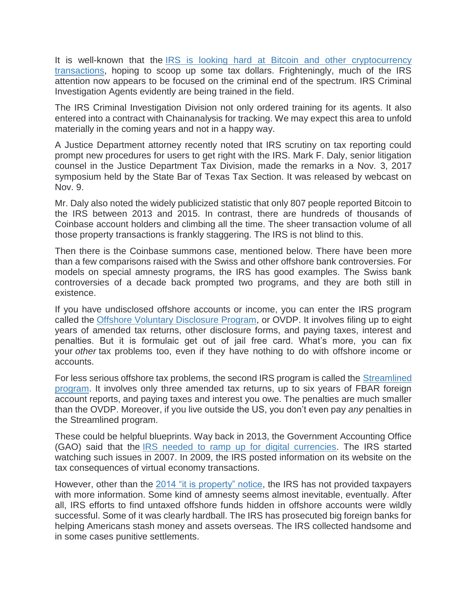It is well-known that the IRS is looking hard at Bitcoin and other cryptocurrency [transactions,](https://cointelegraph.com/news/irs-hunt-for-cryptocurrency-isnt-going-away-expert-blog) hoping to scoop up some tax dollars. Frighteningly, much of the IRS attention now appears to be focused on the criminal end of the spectrum. IRS Criminal Investigation Agents evidently are being trained in the field.

The IRS Criminal Investigation Division not only ordered training for its agents. It also entered into a contract with Chainanalysis for tracking. We may expect this area to unfold materially in the coming years and not in a happy way.

A Justice Department attorney recently noted that IRS scrutiny on tax reporting could prompt new procedures for users to get right with the IRS. Mark F. Daly, senior litigation counsel in the Justice Department Tax Division, made the remarks in a Nov. 3, 2017 symposium held by the State Bar of Texas Tax Section. It was released by webcast on Nov. 9.

Mr. Daly also noted the widely publicized statistic that only 807 people reported Bitcoin to the IRS between 2013 and 2015. In contrast, there are hundreds of thousands of Coinbase account holders and climbing all the time. The sheer transaction volume of all those property transactions is frankly staggering. The IRS is not blind to this.

Then there is the Coinbase summons case, mentioned below. There have been more than a few comparisons raised with the Swiss and other offshore bank controversies. For models on special amnesty programs, the IRS has good examples. The Swiss bank controversies of a decade back prompted two programs, and they are both still in existence.

If you have undisclosed offshore accounts or income, you can enter the IRS program called the [Offshore Voluntary Disclosure Program,](https://www.irs.gov/individuals/international-taxpayers/offshore-voluntary-disclosure-program) or OVDP. It involves filing up to eight years of amended tax returns, other disclosure forms, and paying taxes, interest and penalties. But it is formulaic get out of jail free card. What's more, you can fix your *other* tax problems too, even if they have nothing to do with offshore income or accounts.

For less serious offshore tax problems, the second IRS program is called the [Streamlined](https://www.irs.gov/individuals/international-taxpayers/streamlined-filing-compliance-procedures)  [program.](https://www.irs.gov/individuals/international-taxpayers/streamlined-filing-compliance-procedures) It involves only three amended tax returns, up to six years of FBAR foreign account reports, and paying taxes and interest you owe. The penalties are much smaller than the OVDP. Moreover, if you live outside the US, you don't even pay *any* penalties in the Streamlined program.

These could be helpful blueprints. Way back in 2013, the Government Accounting Office (GAO) said that the [IRS needed to ramp up for digital currencies.](http://www.gao.gov/assets/660/654620.pdf) The IRS started watching such issues in 2007. In 2009, the IRS posted information on its website on the tax consequences of virtual economy transactions.

However, other than the [2014 "it is property" notice,](https://www.irs.gov/newsroom/irs-virtual-currency-guidance) the IRS has not provided taxpayers with more information. Some kind of amnesty seems almost inevitable, eventually. After all, IRS efforts to find untaxed offshore funds hidden in offshore accounts were wildly successful. Some of it was clearly hardball. The IRS has prosecuted big foreign banks for helping Americans stash money and assets overseas. The IRS collected handsome and in some cases punitive settlements.